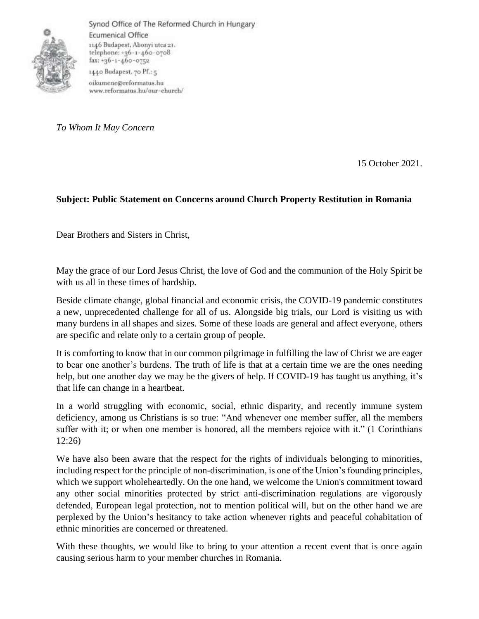

Synod Office of The Reformed Church in Hungary Ecumenical Office 1146 Budapest, Abonyi utca 21. telephone: +36-1-460-0708 fax: +36-1-460-0752 1440 Budapest, 70 Pf.: 5 oikumene@reformatus.hu www.reformatus.hu/our-church/

*To Whom It May Concern*

15 October 2021.

## **Subject: Public Statement on Concerns around Church Property Restitution in Romania**

Dear Brothers and Sisters in Christ,

May the grace of our Lord Jesus Christ, the love of God and the communion of the Holy Spirit be with us all in these times of hardship.

Beside climate change, global financial and economic crisis, the COVID-19 pandemic constitutes a new, unprecedented challenge for all of us. Alongside big trials, our Lord is visiting us with many burdens in all shapes and sizes. Some of these loads are general and affect everyone, others are specific and relate only to a certain group of people.

It is comforting to know that in our common pilgrimage in fulfilling the law of Christ we are eager to bear one another's burdens. The truth of life is that at a certain time we are the ones needing help, but one another day we may be the givers of help. If COVID-19 has taught us anything, it's that life can change in a heartbeat.

In a world struggling with economic, social, ethnic disparity, and recently immune system deficiency, among us Christians is so true: "And whenever one member suffer, all the members suffer with it; or when one member is honored, all the members rejoice with it." (1 Corinthians 12:26)

We have also been aware that the respect for the rights of individuals belonging to minorities, including respect for the principle of non-discrimination, is one of the Union's founding principles, which we support wholeheartedly. On the one hand, we welcome the Union's commitment toward any other social minorities protected by strict anti-discrimination regulations are vigorously defended, European legal protection, not to mention political will, but on the other hand we are perplexed by the Union's hesitancy to take action whenever rights and peaceful cohabitation of ethnic minorities are concerned or threatened.

With these thoughts, we would like to bring to your attention a recent event that is once again causing serious harm to your member churches in Romania.